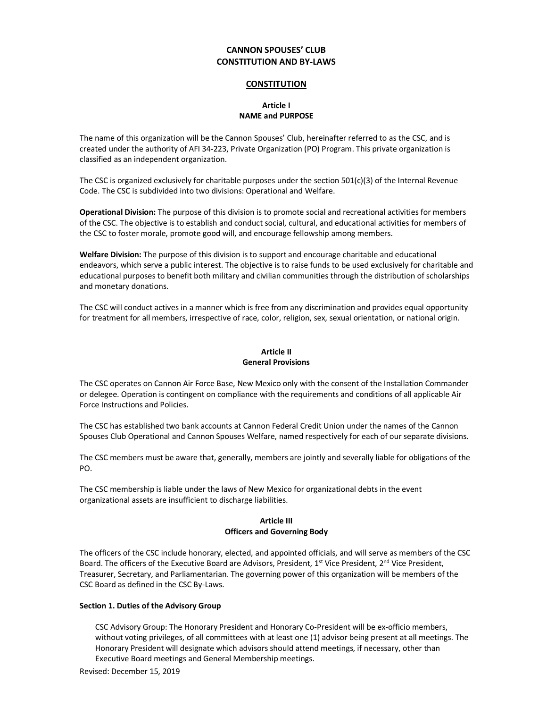# **CANNON SPOUSES' CLUB CONSTITUTION AND BY-LAWS**

#### **CONSTITUTION**

# **Article I NAME and PURPOSE**

The name of this organization will be the Cannon Spouses' Club, hereinafter referred to as the CSC, and is created under the authority of AFI 34-223, Private Organization (PO) Program. This private organization is classified as an independent organization.

The CSC is organized exclusively for charitable purposes under the section 501(c)(3) of the Internal Revenue Code. The CSC is subdivided into two divisions: Operational and Welfare.

**Operational Division:** The purpose of this division is to promote social and recreational activities for members of the CSC. The objective is to establish and conduct social, cultural, and educational activities for members of the CSC to foster morale, promote good will, and encourage fellowship among members.

**Welfare Division:** The purpose of this division is to support and encourage charitable and educational endeavors, which serve a public interest. The objective is to raise funds to be used exclusively for charitable and educational purposes to benefit both military and civilian communities through the distribution of scholarships and monetary donations.

The CSC will conduct actives in a manner which is free from any discrimination and provides equal opportunity for treatment for all members, irrespective of race, color, religion, sex, sexual orientation, or national origin.

# **Article II General Provisions**

The CSC operates on Cannon Air Force Base, New Mexico only with the consent of the Installation Commander or delegee. Operation is contingent on compliance with the requirements and conditions of all applicable Air Force Instructions and Policies.

The CSC has established two bank accounts at Cannon Federal Credit Union under the names of the Cannon Spouses Club Operational and Cannon Spouses Welfare, named respectively for each of our separate divisions.

The CSC members must be aware that, generally, members are jointly and severally liable for obligations of the PO.

The CSC membership is liable under the laws of New Mexico for organizational debts in the event organizational assets are insufficient to discharge liabilities.

# **Article III Officers and Governing Body**

The officers of the CSC include honorary, elected, and appointed officials, and will serve as members of the CSC Board. The officers of the Executive Board are Advisors, President, 1<sup>st</sup> Vice President, 2<sup>nd</sup> Vice President, Treasurer, Secretary, and Parliamentarian. The governing power of this organization will be members of the CSC Board as defined in the CSC By-Laws.

#### **Section 1. Duties of the Advisory Group**

CSC Advisory Group: The Honorary President and Honorary Co-President will be ex-officio members, without voting privileges, of all committees with at least one (1) advisor being present at all meetings. The Honorary President will designate which advisors should attend meetings, if necessary, other than Executive Board meetings and General Membership meetings.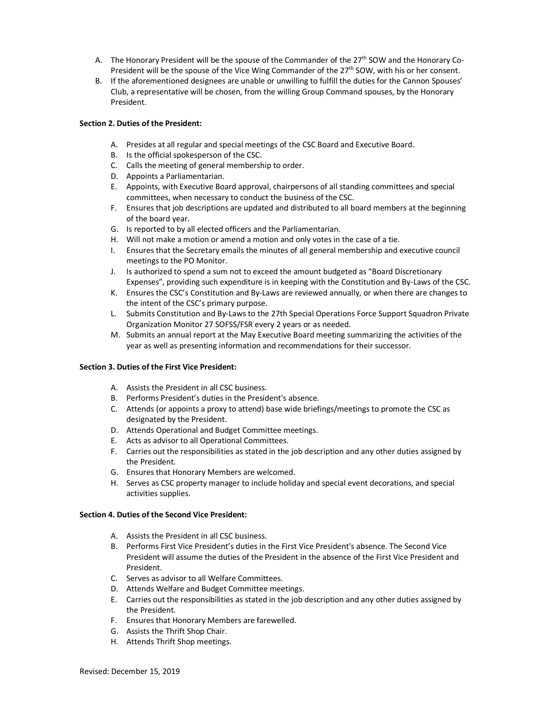- A. The Honorary President will be the spouse of the Commander of the  $27<sup>th</sup>$  SOW and the Honorary Co-President will be the spouse of the Vice Wing Commander of the 27<sup>th</sup> SOW, with his or her consent.
- B. If the aforementioned designees are unable or unwilling to fulfill the duties for the Cannon Spouses' Club, a representative will be chosen, from the willing Group Command spouses, by the Honorary President.

## **Section 2. Duties of the President:**

- A. Presides at all regular and special meetings of the CSC Board and Executive Board.
- B. Is the official spokesperson of the CSC.
- C. Calls the meeting of general membership to order.
- D. Appoints a Parliamentarian.
- E. Appoints, with Executive Board approval, chairpersons of all standing committees and special committees, when necessary to conduct the business of the CSC.
- F. Ensures that job descriptions are updated and distributed to all board members at the beginning of the board year.
- G. Is reported to by all elected officers and the Parliamentarian.
- H. Will not make a motion or amend a motion and only votes in the case of a tie.
- I. Ensures that the Secretary emails the minutes of all general membership and executive council meetings to the PO Monitor.
- J. Is authorized to spend a sum not to exceed the amount budgeted as "Board Discretionary Expenses", providing such expenditure is in keeping with the Constitution and By-Laws of the CSC.
- K. Ensures the CSC's Constitution and By-Laws are reviewed annually, or when there are changes to the intent of the CSC's primary purpose.
- L. Submits Constitution and By-Laws to the 27th Special Operations Force Support Squadron Private Organization Monitor 27 SOFSS/FSR every 2 years or as needed.
- M. Submits an annual report at the May Executive Board meeting summarizing the activities of the year as well as presenting information and recommendations for their successor.

#### **Section 3. Duties of the First Vice President:**

- A. Assists the President in all CSC business.
- B. Performs President's duties in the President's absence.
- C. Attends (or appoints a proxy to attend) base wide briefings/meetings to promote the CSC as designated by the President.
- D. Attends Operational and Budget Committee meetings.
- E. Acts as advisor to all Operational Committees.
- F. Carries out the responsibilities as stated in the job description and any other duties assigned by the President.
- G. Ensures that Honorary Members are welcomed.
- H. Serves as CSC property manager to include holiday and special event decorations, and special activities supplies.

#### **Section 4. Duties of the Second Vice President:**

- A. Assists the President in all CSC business.
- B. Performs First Vice President's duties in the First Vice President's absence. The Second Vice President will assume the duties of the President in the absence of the First Vice President and President.
- C. Serves as advisor to all Welfare Committees.
- D. Attends Welfare and Budget Committee meetings.
- E. Carries out the responsibilities as stated in the job description and any other duties assigned by the President.
- F. Ensures that Honorary Members are farewelled.
- G. Assists the Thrift Shop Chair.
- H. Attends Thrift Shop meetings.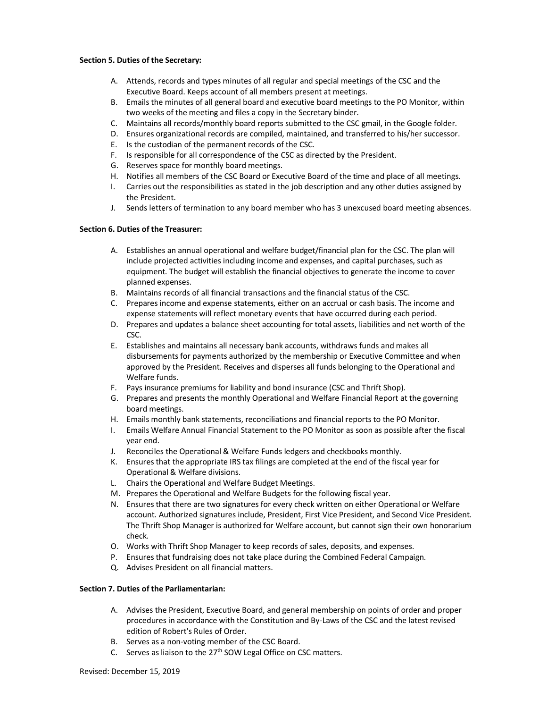#### **Section 5. Duties of the Secretary:**

- A. Attends, records and types minutes of all regular and special meetings of the CSC and the Executive Board. Keeps account of all members present at meetings.
- B. Emails the minutes of all general board and executive board meetings to the PO Monitor, within two weeks of the meeting and files a copy in the Secretary binder.
- C. Maintains all records/monthly board reports submitted to the CSC gmail, in the Google folder.
- D. Ensures organizational records are compiled, maintained, and transferred to his/her successor.
- E. Is the custodian of the permanent records of the CSC.
- F. Is responsible for all correspondence of the CSC as directed by the President.
- G. Reserves space for monthly board meetings.
- H. Notifies all members of the CSC Board or Executive Board of the time and place of all meetings.
- I. Carries out the responsibilities as stated in the job description and any other duties assigned by the President.
- J. Sends letters of termination to any board member who has 3 unexcused board meeting absences.

#### **Section 6. Duties of the Treasurer:**

- A. Establishes an annual operational and welfare budget/financial plan for the CSC. The plan will include projected activities including income and expenses, and capital purchases, such as equipment. The budget will establish the financial objectives to generate the income to cover planned expenses.
- B. Maintains records of all financial transactions and the financial status of the CSC.
- C. Prepares income and expense statements, either on an accrual or cash basis. The income and expense statements will reflect monetary events that have occurred during each period.
- D. Prepares and updates a balance sheet accounting for total assets, liabilities and net worth of the CSC.
- E. Establishes and maintains all necessary bank accounts, withdraws funds and makes all disbursements for payments authorized by the membership or Executive Committee and when approved by the President. Receives and disperses all funds belonging to the Operational and Welfare funds.
- F. Pays insurance premiums for liability and bond insurance (CSC and Thrift Shop).
- G. Prepares and presents the monthly Operational and Welfare Financial Report at the governing board meetings.
- H. Emails monthly bank statements, reconciliations and financial reports to the PO Monitor.
- I. Emails Welfare Annual Financial Statement to the PO Monitor as soon as possible after the fiscal year end.
- J. Reconciles the Operational & Welfare Funds ledgers and checkbooks monthly.
- K. Ensures that the appropriate IRS tax filings are completed at the end of the fiscal year for Operational & Welfare divisions.
- L. Chairs the Operational and Welfare Budget Meetings.
- M. Prepares the Operational and Welfare Budgets for the following fiscal year.
- N. Ensures that there are two signatures for every check written on either Operational or Welfare account. Authorized signatures include, President, First Vice President, and Second Vice President. The Thrift Shop Manager is authorized for Welfare account, but cannot sign their own honorarium check.
- O. Works with Thrift Shop Manager to keep records of sales, deposits, and expenses.
- P. Ensures that fundraising does not take place during the Combined Federal Campaign.
- Q. Advises President on all financial matters.

# **Section 7. Duties of the Parliamentarian:**

- A. Advises the President, Executive Board, and general membership on points of order and proper procedures in accordance with the Constitution and By-Laws of the CSC and the latest revised edition of Robert's Rules of Order.
- B. Serves as a non-voting member of the CSC Board.
- C. Serves as liaison to the  $27<sup>th</sup>$  SOW Legal Office on CSC matters.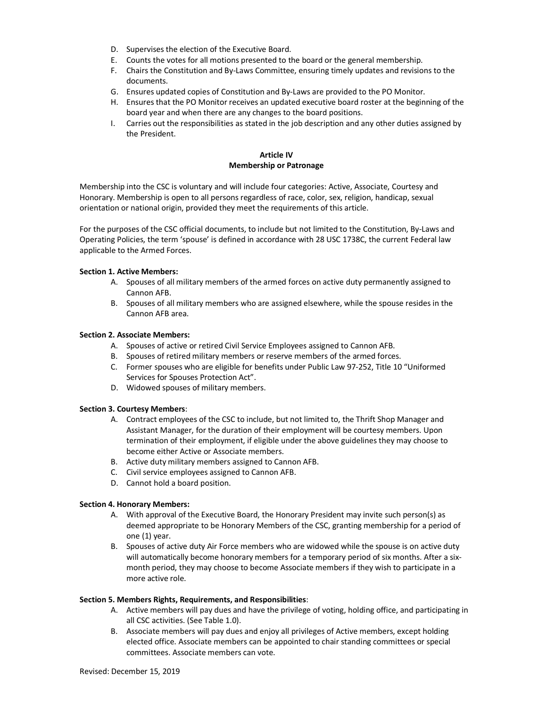- D. Supervises the election of the Executive Board.
- E. Counts the votes for all motions presented to the board or the general membership.
- F. Chairs the Constitution and By-Laws Committee, ensuring timely updates and revisions to the documents.
- G. Ensures updated copies of Constitution and By-Laws are provided to the PO Monitor.
- H. Ensures that the PO Monitor receives an updated executive board roster at the beginning of the board year and when there are any changes to the board positions.
- I. Carries out the responsibilities as stated in the job description and any other duties assigned by the President.

# **Article IV Membership or Patronage**

Membership into the CSC is voluntary and will include four categories: Active, Associate, Courtesy and Honorary. Membership is open to all persons regardless of race, color, sex, religion, handicap, sexual orientation or national origin, provided they meet the requirements of this article.

For the purposes of the CSC official documents, to include but not limited to the Constitution, By-Laws and Operating Policies, the term 'spouse' is defined in accordance with 28 USC 1738C, the current Federal law applicable to the Armed Forces.

# **Section 1. Active Members:**

- A. Spouses of all military members of the armed forces on active duty permanently assigned to Cannon AFB.
- B. Spouses of all military members who are assigned elsewhere, while the spouse resides in the Cannon AFB area.

# **Section 2. Associate Members:**

- A. Spouses of active or retired Civil Service Employees assigned to Cannon AFB.
- B. Spouses of retired military members or reserve members of the armed forces.
- C. Former spouses who are eligible for benefits under Public Law 97-252, Title 10 "Uniformed Services for Spouses Protection Act".
- D. Widowed spouses of military members.

#### **Section 3. Courtesy Members**:

- A. Contract employees of the CSC to include, but not limited to, the Thrift Shop Manager and Assistant Manager, for the duration of their employment will be courtesy members. Upon termination of their employment, if eligible under the above guidelines they may choose to become either Active or Associate members.
- B. Active duty military members assigned to Cannon AFB.
- C. Civil service employees assigned to Cannon AFB.
- D. Cannot hold a board position.

#### **Section 4. Honorary Members:**

- A. With approval of the Executive Board, the Honorary President may invite such person(s) as deemed appropriate to be Honorary Members of the CSC, granting membership for a period of one (1) year.
- B. Spouses of active duty Air Force members who are widowed while the spouse is on active duty will automatically become honorary members for a temporary period of six months. After a sixmonth period, they may choose to become Associate members if they wish to participate in a more active role.

#### **Section 5. Members Rights, Requirements, and Responsibilities**:

- A. Active members will pay dues and have the privilege of voting, holding office, and participating in all CSC activities. (See Table 1.0).
- B. Associate members will pay dues and enjoy all privileges of Active members, except holding elected office. Associate members can be appointed to chair standing committees or special committees. Associate members can vote.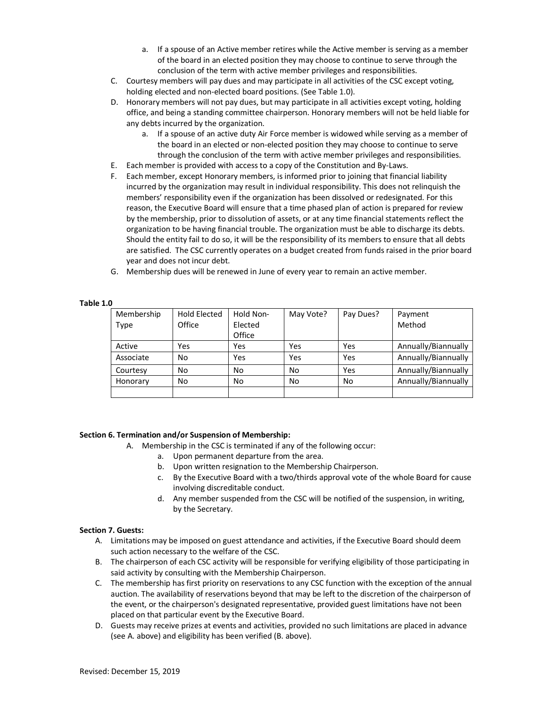- a. If a spouse of an Active member retires while the Active member is serving as a member of the board in an elected position they may choose to continue to serve through the conclusion of the term with active member privileges and responsibilities.
- C. Courtesy members will pay dues and may participate in all activities of the CSC except voting, holding elected and non-elected board positions. (See Table 1.0).
- D. Honorary members will not pay dues, but may participate in all activities except voting, holding office, and being a standing committee chairperson. Honorary members will not be held liable for any debts incurred by the organization.
	- a. If a spouse of an active duty Air Force member is widowed while serving as a member of the board in an elected or non-elected position they may choose to continue to serve through the conclusion of the term with active member privileges and responsibilities.
- E. Each member is provided with access to a copy of the Constitution and By-Laws.
- F. Each member, except Honorary members, is informed prior to joining that financial liability incurred by the organization may result in individual responsibility. This does not relinquish the members' responsibility even if the organization has been dissolved or redesignated. For this reason, the Executive Board will ensure that a time phased plan of action is prepared for review by the membership, prior to dissolution of assets, or at any time financial statements reflect the organization to be having financial trouble. The organization must be able to discharge its debts. Should the entity fail to do so, it will be the responsibility of its members to ensure that all debts are satisfied. The CSC currently operates on a budget created from funds raised in the prior board year and does not incur debt.
- G. Membership dues will be renewed in June of every year to remain an active member.

#### **Table 1.0**

| Membership | <b>Hold Elected</b> | Hold Non- | May Vote? | Pay Dues? | Payment             |
|------------|---------------------|-----------|-----------|-----------|---------------------|
| Type       | Office              | Elected   |           |           | Method              |
|            |                     | Office    |           |           |                     |
| Active     | Yes                 | Yes       | Yes       | Yes       | Annually/Biannually |
| Associate  | No                  | Yes       | Yes       | Yes       | Annually/Biannually |
| Courtesy   | No                  | No        | No        | Yes       | Annually/Biannually |
| Honorary   | No                  | No        | No        | No        | Annually/Biannually |
|            |                     |           |           |           |                     |

#### **Section 6. Termination and/or Suspension of Membership:**

- A. Membership in the CSC is terminated if any of the following occur:
	- a. Upon permanent departure from the area.
	- b. Upon written resignation to the Membership Chairperson.
	- c. By the Executive Board with a two/thirds approval vote of the whole Board for cause involving discreditable conduct.
	- d. Any member suspended from the CSC will be notified of the suspension, in writing, by the Secretary.

#### **Section 7. Guests:**

- A. Limitations may be imposed on guest attendance and activities, if the Executive Board should deem such action necessary to the welfare of the CSC.
- B. The chairperson of each CSC activity will be responsible for verifying eligibility of those participating in said activity by consulting with the Membership Chairperson.
- C. The membership has first priority on reservations to any CSC function with the exception of the annual auction. The availability of reservations beyond that may be left to the discretion of the chairperson of the event, or the chairperson's designated representative, provided guest limitations have not been placed on that particular event by the Executive Board.
- D. Guests may receive prizes at events and activities, provided no such limitations are placed in advance (see A. above) and eligibility has been verified (B. above).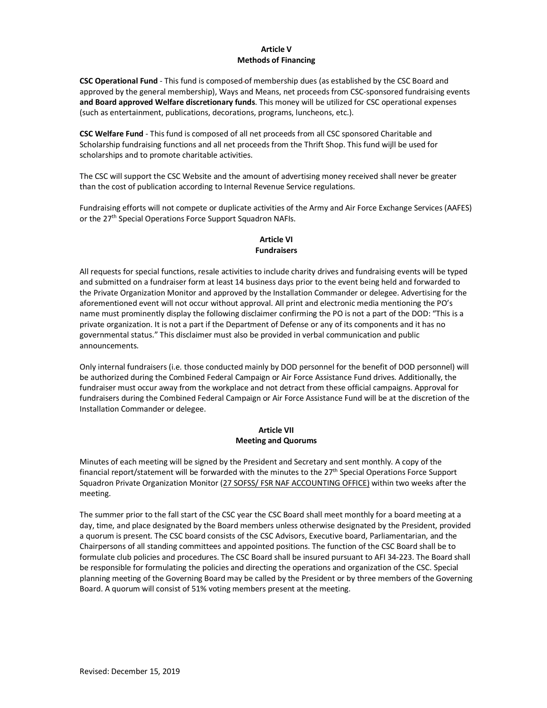# **Article V Methods of Financing**

**CSC Operational Fund** - This fund is composed of membership dues (as established by the CSC Board and approved by the general membership), Ways and Means, net proceeds from CSC-sponsored fundraising events **and Board approved Welfare discretionary funds**. This money will be utilized for CSC operational expenses (such as entertainment, publications, decorations, programs, luncheons, etc.).

**CSC Welfare Fund** - This fund is composed of all net proceeds from all CSC sponsored Charitable and Scholarship fundraising functions and all net proceeds from the Thrift Shop. This fund wijll be used for scholarships and to promote charitable activities.

The CSC will support the CSC Website and the amount of advertising money received shall never be greater than the cost of publication according to Internal Revenue Service regulations.

Fundraising efforts will not compete or duplicate activities of the Army and Air Force Exchange Services (AAFES) or the 27<sup>th</sup> Special Operations Force Support Squadron NAFIs.

# **Article VI Fundraisers**

All requests for special functions, resale activities to include charity drives and fundraising events will be typed and submitted on a fundraiser form at least 14 business days prior to the event being held and forwarded to the Private Organization Monitor and approved by the Installation Commander or delegee. Advertising for the aforementioned event will not occur without approval. All print and electronic media mentioning the PO's name must prominently display the following disclaimer confirming the PO is not a part of the DOD: "This is a private organization. It is not a part if the Department of Defense or any of its components and it has no governmental status." This disclaimer must also be provided in verbal communication and public announcements.

Only internal fundraisers (i.e. those conducted mainly by DOD personnel for the benefit of DOD personnel) will be authorized during the Combined Federal Campaign or Air Force Assistance Fund drives. Additionally, the fundraiser must occur away from the workplace and not detract from these official campaigns. Approval for fundraisers during the Combined Federal Campaign or Air Force Assistance Fund will be at the discretion of the Installation Commander or delegee.

# **Article VII Meeting and Quorums**

Minutes of each meeting will be signed by the President and Secretary and sent monthly. A copy of the financial report/statement will be forwarded with the minutes to the 27<sup>th</sup> Special Operations Force Support Squadron Private Organization Monitor (27 SOFSS/ FSR NAF ACCOUNTING OFFICE) within two weeks after the meeting.

The summer prior to the fall start of the CSC year the CSC Board shall meet monthly for a board meeting at a day, time, and place designated by the Board members unless otherwise designated by the President, provided a quorum is present. The CSC board consists of the CSC Advisors, Executive board, Parliamentarian, and the Chairpersons of all standing committees and appointed positions. The function of the CSC Board shall be to formulate club policies and procedures. The CSC Board shall be insured pursuant to AFI 34-223. The Board shall be responsible for formulating the policies and directing the operations and organization of the CSC. Special planning meeting of the Governing Board may be called by the President or by three members of the Governing Board. A quorum will consist of 51% voting members present at the meeting.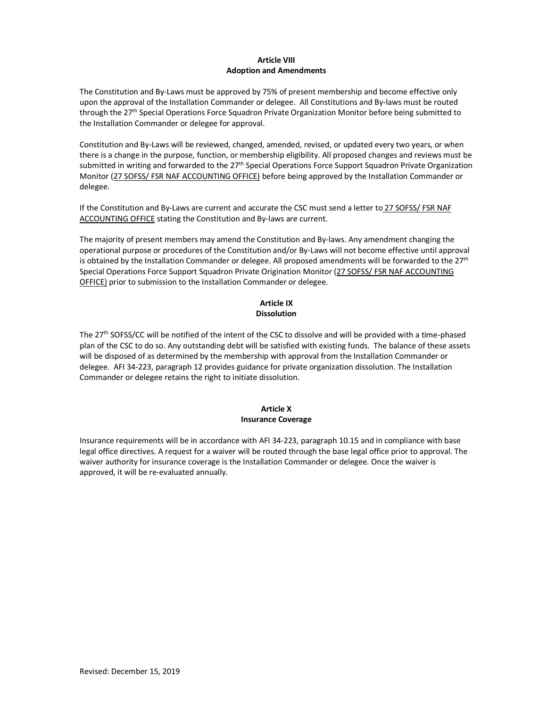# **Article VIII Adoption and Amendments**

The Constitution and By-Laws must be approved by 75% of present membership and become effective only upon the approval of the Installation Commander or delegee. All Constitutions and By-laws must be routed through the 27th Special Operations Force Squadron Private Organization Monitor before being submitted to the Installation Commander or delegee for approval.

Constitution and By-Laws will be reviewed, changed, amended, revised, or updated every two years, or when there is a change in the purpose, function, or membership eligibility. All proposed changes and reviews must be submitted in writing and forwarded to the 27<sup>th</sup> Special Operations Force Support Squadron Private Organization Monitor (27 SOFSS/ FSR NAF ACCOUNTING OFFICE) before being approved by the Installation Commander or delegee.

If the Constitution and By-Laws are current and accurate the CSC must send a letter to 27 SOFSS/ FSR NAF ACCOUNTING OFFICE stating the Constitution and By-laws are current.

The majority of present members may amend the Constitution and By-laws. Any amendment changing the operational purpose or procedures of the Constitution and/or By-Laws will not become effective until approval is obtained by the Installation Commander or delegee. All proposed amendments will be forwarded to the  $27<sup>th</sup>$ Special Operations Force Support Squadron Private Origination Monitor (27 SOFSS/ FSR NAF ACCOUNTING OFFICE) prior to submission to the Installation Commander or delegee.

# **Article IX Dissolution**

The 27th SOFSS/CC will be notified of the intent of the CSC to dissolve and will be provided with a time-phased plan of the CSC to do so. Any outstanding debt will be satisfied with existing funds. The balance of these assets will be disposed of as determined by the membership with approval from the Installation Commander or delegee. AFI 34-223, paragraph 12 provides guidance for private organization dissolution. The Installation Commander or delegee retains the right to initiate dissolution.

#### **Article X Insurance Coverage**

Insurance requirements will be in accordance with AFI 34-223, paragraph 10.15 and in compliance with base legal office directives. A request for a waiver will be routed through the base legal office prior to approval. The waiver authority for insurance coverage is the Installation Commander or delegee. Once the waiver is approved, it will be re-evaluated annually.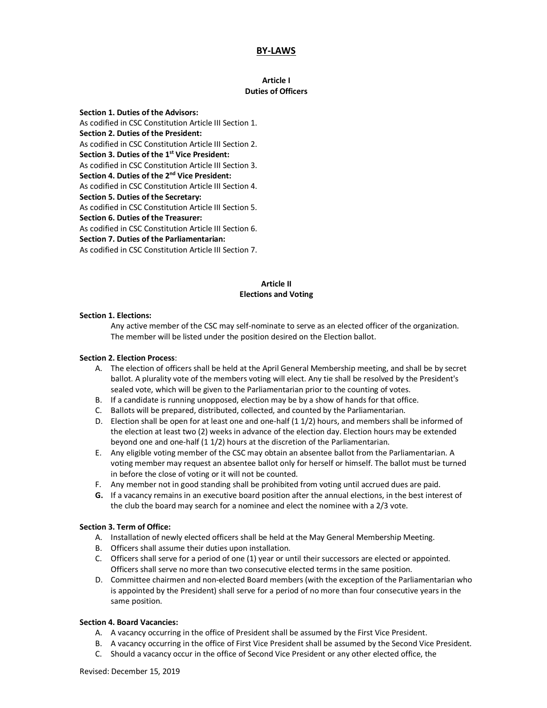# **BY-LAWS**

#### **Article I Duties of Officers**

**Section 1. Duties of the Advisors:** As codified in CSC Constitution Article III Section 1. **Section 2. Duties of the President:** As codified in CSC Constitution Article III Section 2. **Section 3. Duties of the 1st Vice President:** As codified in CSC Constitution Article III Section 3. **Section 4. Duties of the 2nd Vice President:** As codified in CSC Constitution Article III Section 4. **Section 5. Duties of the Secretary:** As codified in CSC Constitution Article III Section 5. **Section 6. Duties of the Treasurer:** As codified in CSC Constitution Article III Section 6. **Section 7. Duties of the Parliamentarian:** As codified in CSC Constitution Article III Section 7.

# **Article II Elections and Voting**

#### **Section 1. Elections:**

Any active member of the CSC may self-nominate to serve as an elected officer of the organization. The member will be listed under the position desired on the Election ballot.

#### **Section 2. Election Process**:

- A. The election of officers shall be held at the April General Membership meeting, and shall be by secret ballot. A plurality vote of the members voting will elect. Any tie shall be resolved by the President's sealed vote, which will be given to the Parliamentarian prior to the counting of votes.
- B. If a candidate is running unopposed, election may be by a show of hands for that office.
- C. Ballots will be prepared, distributed, collected, and counted by the Parliamentarian.
- D. Election shall be open for at least one and one-half (1 1/2) hours, and members shall be informed of the election at least two (2) weeks in advance of the election day. Election hours may be extended beyond one and one-half (1 1/2) hours at the discretion of the Parliamentarian.
- E. Any eligible voting member of the CSC may obtain an absentee ballot from the Parliamentarian. A voting member may request an absentee ballot only for herself or himself. The ballot must be turned in before the close of voting or it will not be counted.
- F. Any member not in good standing shall be prohibited from voting until accrued dues are paid.
- **G.** If a vacancy remains in an executive board position after the annual elections, in the best interest of the club the board may search for a nominee and elect the nominee with a 2/3 vote.

#### **Section 3. Term of Office:**

- A. Installation of newly elected officers shall be held at the May General Membership Meeting.
- B. Officers shall assume their duties upon installation.
- C. Officers shall serve for a period of one (1) year or until their successors are elected or appointed. Officers shall serve no more than two consecutive elected terms in the same position.
- D. Committee chairmen and non-elected Board members (with the exception of the Parliamentarian who is appointed by the President) shall serve for a period of no more than four consecutive years in the same position.

#### **Section 4. Board Vacancies:**

- A. A vacancy occurring in the office of President shall be assumed by the First Vice President.
- B. A vacancy occurring in the office of First Vice President shall be assumed by the Second Vice President.
- C. Should a vacancy occur in the office of Second Vice President or any other elected office, the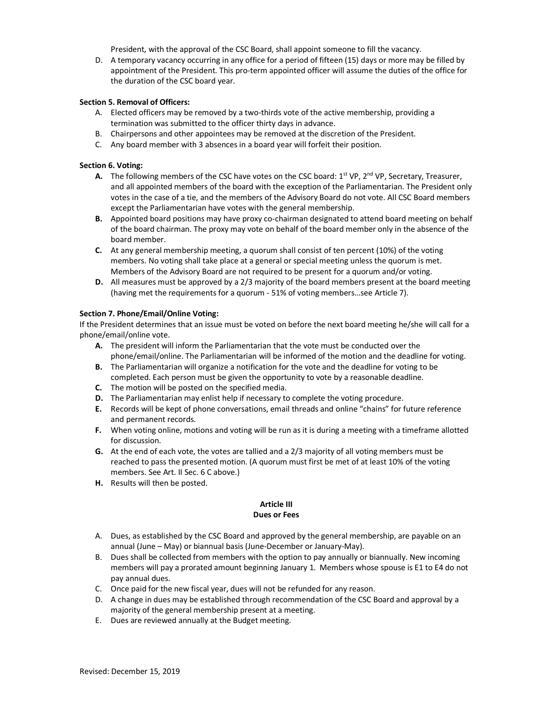President, with the approval of the CSC Board, shall appoint someone to fill the vacancy.

D. A temporary vacancy occurring in any office for a period of fifteen (15) days or more may be filled by appointment of the President. This pro-term appointed officer will assume the duties of the office for the duration of the CSC board year.

# **Section 5. Removal of Officers:**

- A. Elected officers may be removed by a two-thirds vote of the active membership, providing a termination was submitted to the officer thirty days in advance.
- B. Chairpersons and other appointees may be removed at the discretion of the President.
- C. Any board member with 3 absences in a board year will forfeit their position.

## **Section 6. Voting:**

- **A.** The following members of the CSC have votes on the CSC board: 1<sup>st</sup> VP, 2<sup>nd</sup> VP, Secretary, Treasurer, and all appointed members of the board with the exception of the Parliamentarian. The President only votes in the case of a tie, and the members of the Advisory Board do not vote. All CSC Board members except the Parliamentarian have votes with the general membership.
- **B.** Appointed board positions may have proxy co-chairman designated to attend board meeting on behalf of the board chairman. The proxy may vote on behalf of the board member only in the absence of the board member.
- **C.** At any general membership meeting, a quorum shall consist of ten percent (10%) of the voting members. No voting shall take place at a general or special meeting unless the quorum is met. Members of the Advisory Board are not required to be present for a quorum and/or voting.
- **D.** All measures must be approved by a 2/3 majority of the board members present at the board meeting (having met the requirements for a quorum - 51% of voting members…see Article 7).

# **Section 7. Phone/Email/Online Voting:**

If the President determines that an issue must be voted on before the next board meeting he/she will call for a phone/email/online vote.

- **A.** The president will inform the Parliamentarian that the vote must be conducted over the phone/email/online. The Parliamentarian will be informed of the motion and the deadline for voting.
- **B.** The Parliamentarian will organize a notification for the vote and the deadline for voting to be completed. Each person must be given the opportunity to vote by a reasonable deadline.
- **C.** The motion will be posted on the specified media.
- **D.** The Parliamentarian may enlist help if necessary to complete the voting procedure.
- **E.** Records will be kept of phone conversations, email threads and online "chains" for future reference and permanent records.
- **F.** When voting online, motions and voting will be run as it is during a meeting with a timeframe allotted for discussion.
- **G.** At the end of each vote, the votes are tallied and a 2/3 majority of all voting members must be reached to pass the presented motion. (A quorum must first be met of at least 10% of the voting members. See Art. II Sec. 6 C above.)
- **H.** Results will then be posted.

# **Article III Dues or Fees**

- A. Dues, as established by the CSC Board and approved by the general membership, are payable on an annual (June – May) or biannual basis (June-December or January-May).
- B. Dues shall be collected from members with the option to pay annually or biannually. New incoming members will pay a prorated amount beginning January 1. Members whose spouse is E1 to E4 do not pay annual dues.
- C. Once paid for the new fiscal year, dues will not be refunded for any reason.
- D. A change in dues may be established through recommendation of the CSC Board and approval by a majority of the general membership present at a meeting.
- E. Dues are reviewed annually at the Budget meeting.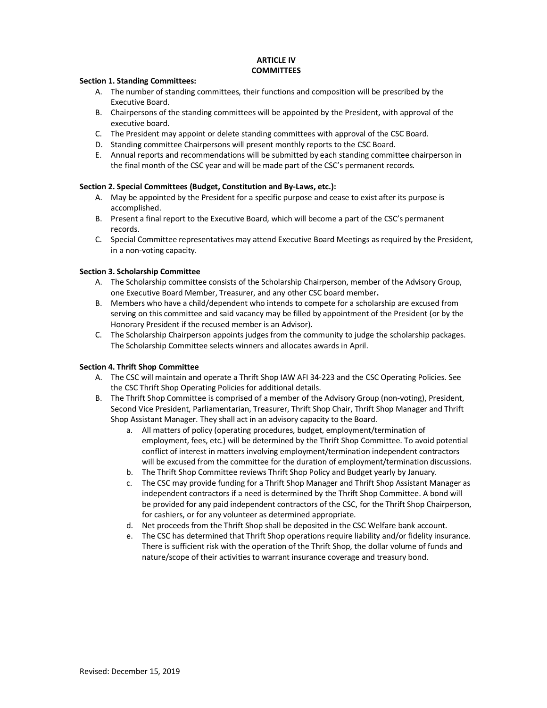#### **ARTICLE IV COMMITTEES**

#### **Section 1. Standing Committees:**

- A. The number of standing committees, their functions and composition will be prescribed by the Executive Board.
- B. Chairpersons of the standing committees will be appointed by the President, with approval of the executive board.
- C. The President may appoint or delete standing committees with approval of the CSC Board.
- D. Standing committee Chairpersons will present monthly reports to the CSC Board.
- E. Annual reports and recommendations will be submitted by each standing committee chairperson in the final month of the CSC year and will be made part of the CSC's permanent records.

#### **Section 2. Special Committees (Budget, Constitution and By-Laws, etc.):**

- A. May be appointed by the President for a specific purpose and cease to exist after its purpose is accomplished.
- B. Present a final report to the Executive Board, which will become a part of the CSC's permanent records.
- C. Special Committee representatives may attend Executive Board Meetings as required by the President, in a non-voting capacity.

# **Section 3. Scholarship Committee**

- A. The Scholarship committee consists of the Scholarship Chairperson, member of the Advisory Group, one Executive Board Member, Treasurer, and any other CSC board member**.**
- B. Members who have a child/dependent who intends to compete for a scholarship are excused from serving on this committee and said vacancy may be filled by appointment of the President (or by the Honorary President if the recused member is an Advisor).
- C. The Scholarship Chairperson appoints judges from the community to judge the scholarship packages. The Scholarship Committee selects winners and allocates awards in April.

#### **Section 4. Thrift Shop Committee**

- A. The CSC will maintain and operate a Thrift Shop IAW AFI 34-223 and the CSC Operating Policies. See the CSC Thrift Shop Operating Policies for additional details.
- B. The Thrift Shop Committee is comprised of a member of the Advisory Group (non-voting), President, Second Vice President, Parliamentarian, Treasurer, Thrift Shop Chair, Thrift Shop Manager and Thrift Shop Assistant Manager. They shall act in an advisory capacity to the Board.
	- a. All matters of policy (operating procedures, budget, employment/termination of employment, fees, etc.) will be determined by the Thrift Shop Committee. To avoid potential conflict of interest in matters involving employment/termination independent contractors will be excused from the committee for the duration of employment/termination discussions.
	- b. The Thrift Shop Committee reviews Thrift Shop Policy and Budget yearly by January.
	- c. The CSC may provide funding for a Thrift Shop Manager and Thrift Shop Assistant Manager as independent contractors if a need is determined by the Thrift Shop Committee. A bond will be provided for any paid independent contractors of the CSC, for the Thrift Shop Chairperson, for cashiers, or for any volunteer as determined appropriate.
	- d. Net proceeds from the Thrift Shop shall be deposited in the CSC Welfare bank account.
	- e. The CSC has determined that Thrift Shop operations require liability and/or fidelity insurance. There is sufficient risk with the operation of the Thrift Shop, the dollar volume of funds and nature/scope of their activities to warrant insurance coverage and treasury bond.